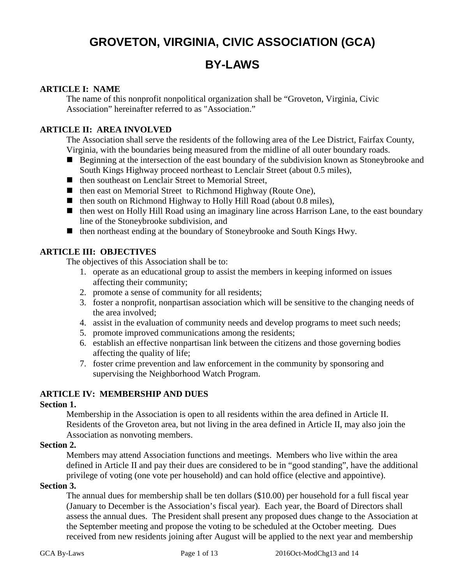# **GROVETON, VIRGINIA, CIVIC ASSOCIATION (GCA)**

# **BY-LAWS**

### **ARTICLE I: NAME**

The name of this nonprofit nonpolitical organization shall be "Groveton, Virginia, Civic Association" hereinafter referred to as "Association."

# **ARTICLE II: AREA INVOLVED**

The Association shall serve the residents of the following area of the Lee District, Fairfax County, Virginia, with the boundaries being measured from the midline of all outer boundary roads.

- Beginning at the intersection of the east boundary of the subdivision known as Stoneybrooke and South Kings Highway proceed northeast to Lenclair Street (about 0.5 miles),
- then southeast on Lenclair Street to Memorial Street,
- then east on Memorial Street to Richmond Highway (Route One),
- then south on Richmond Highway to Holly Hill Road (about 0.8 miles),
- then west on Holly Hill Road using an imaginary line across Harrison Lane, to the east boundary line of the Stoneybrooke subdivision, and
- then northeast ending at the boundary of Stoneybrooke and South Kings Hwy.

# **ARTICLE III: OBJECTIVES**

The objectives of this Association shall be to:

- 1. operate as an educational group to assist the members in keeping informed on issues affecting their community;
- 2. promote a sense of community for all residents;
- 3. foster a nonprofit, nonpartisan association which will be sensitive to the changing needs of the area involved;
- 4. assist in the evaluation of community needs and develop programs to meet such needs;
- 5. promote improved communications among the residents;
- 6. establish an effective nonpartisan link between the citizens and those governing bodies affecting the quality of life;
- 7. foster crime prevention and law enforcement in the community by sponsoring and supervising the Neighborhood Watch Program.

#### **ARTICLE IV: MEMBERSHIP AND DUES**

#### **Section 1.**

Membership in the Association is open to all residents within the area defined in Article II. Residents of the Groveton area, but not living in the area defined in Article II, may also join the Association as nonvoting members.

#### **Section 2.**

Members may attend Association functions and meetings. Members who live within the area defined in Article II and pay their dues are considered to be in "good standing", have the additional privilege of voting (one vote per household) and can hold office (elective and appointive).

#### **Section 3.**

The annual dues for membership shall be ten dollars (\$10.00) per household for a full fiscal year (January to December is the Association's fiscal year). Each year, the Board of Directors shall assess the annual dues. The President shall present any proposed dues change to the Association at the September meeting and propose the voting to be scheduled at the October meeting. Dues received from new residents joining after August will be applied to the next year and membership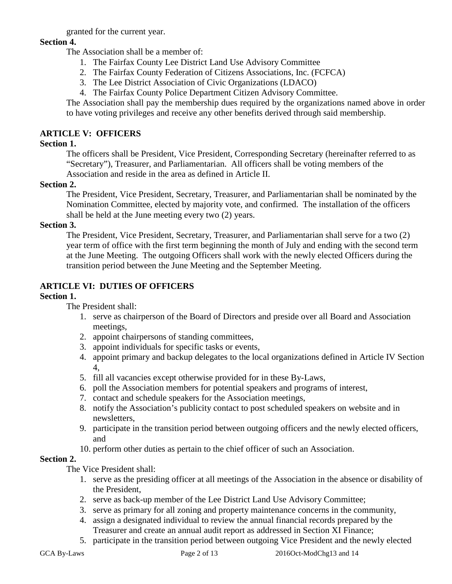granted for the current year.

# **Section 4.**

The Association shall be a member of:

- 1. The Fairfax County Lee District Land Use Advisory Committee
- 2. The Fairfax County Federation of Citizens Associations, Inc. (FCFCA)
- 3. The Lee District Association of Civic Organizations (LDACO)
- 4. The Fairfax County Police Department Citizen Advisory Committee.

The Association shall pay the membership dues required by the organizations named above in order to have voting privileges and receive any other benefits derived through said membership.

# **ARTICLE V: OFFICERS**

# **Section 1.**

The officers shall be President, Vice President, Corresponding Secretary (hereinafter referred to as "Secretary"), Treasurer, and Parliamentarian. All officers shall be voting members of the Association and reside in the area as defined in Article II.

# **Section 2.**

The President, Vice President, Secretary, Treasurer, and Parliamentarian shall be nominated by the Nomination Committee, elected by majority vote, and confirmed. The installation of the officers shall be held at the June meeting every two (2) years.

# **Section 3.**

The President, Vice President, Secretary, Treasurer, and Parliamentarian shall serve for a two (2) year term of office with the first term beginning the month of July and ending with the second term at the June Meeting. The outgoing Officers shall work with the newly elected Officers during the transition period between the June Meeting and the September Meeting.

# **ARTICLE VI: DUTIES OF OFFICERS**

# **Section 1.**

The President shall:

- 1. serve as chairperson of the Board of Directors and preside over all Board and Association meetings,
- 2. appoint chairpersons of standing committees,
- 3. appoint individuals for specific tasks or events,
- 4. appoint primary and backup delegates to the local organizations defined in Article IV Section 4,
- 5. fill all vacancies except otherwise provided for in these By-Laws,
- 6. poll the Association members for potential speakers and programs of interest,
- 7. contact and schedule speakers for the Association meetings,
- 8. notify the Association's publicity contact to post scheduled speakers on website and in newsletters,
- 9. participate in the transition period between outgoing officers and the newly elected officers, and
- 10. perform other duties as pertain to the chief officer of such an Association.

# **Section 2.**

The Vice President shall:

- 1. serve as the presiding officer at all meetings of the Association in the absence or disability of the President,
- 2. serve as back-up member of the Lee District Land Use Advisory Committee;
- 3. serve as primary for all zoning and property maintenance concerns in the community,
- 4. assign a designated individual to review the annual financial records prepared by the Treasurer and create an annual audit report as addressed in Section XI Finance;
- 5. participate in the transition period between outgoing Vice President and the newly elected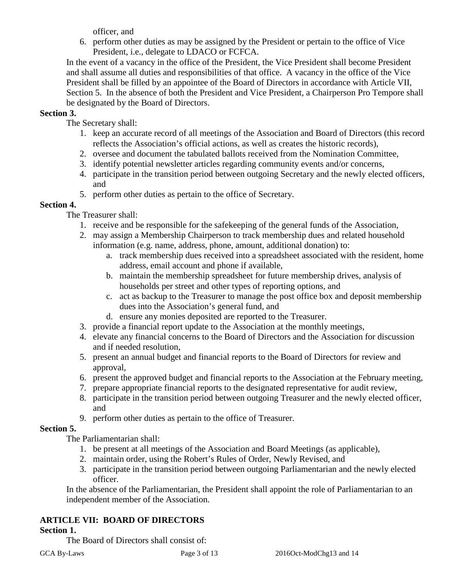officer, and

6. perform other duties as may be assigned by the President or pertain to the office of Vice President, i.e., delegate to LDACO or FCFCA.

In the event of a vacancy in the office of the President, the Vice President shall become President and shall assume all duties and responsibilities of that office. A vacancy in the office of the Vice President shall be filled by an appointee of the Board of Directors in accordance with Article VII, Section 5. In the absence of both the President and Vice President, a Chairperson Pro Tempore shall be designated by the Board of Directors.

# **Section 3.**

The Secretary shall:

- 1. keep an accurate record of all meetings of the Association and Board of Directors (this record reflects the Association's official actions, as well as creates the historic records),
- 2. oversee and document the tabulated ballots received from the Nomination Committee,
- 3. identify potential newsletter articles regarding community events and/or concerns,
- 4. participate in the transition period between outgoing Secretary and the newly elected officers, and
- 5. perform other duties as pertain to the office of Secretary.

# **Section 4.**

The Treasurer shall:

- 1. receive and be responsible for the safekeeping of the general funds of the Association,
- 2. may assign a Membership Chairperson to track membership dues and related household information (e.g. name, address, phone, amount, additional donation) to:
	- a. track membership dues received into a spreadsheet associated with the resident, home address, email account and phone if available,
	- b. maintain the membership spreadsheet for future membership drives, analysis of households per street and other types of reporting options, and
	- c. act as backup to the Treasurer to manage the post office box and deposit membership dues into the Association's general fund, and
	- d. ensure any monies deposited are reported to the Treasurer.
- 3. provide a financial report update to the Association at the monthly meetings,
- 4. elevate any financial concerns to the Board of Directors and the Association for discussion and if needed resolution,
- 5. present an annual budget and financial reports to the Board of Directors for review and approval,
- 6. present the approved budget and financial reports to the Association at the February meeting,
- 7. prepare appropriate financial reports to the designated representative for audit review,
- 8. participate in the transition period between outgoing Treasurer and the newly elected officer, and
- 9. perform other duties as pertain to the office of Treasurer.

# **Section 5.**

The Parliamentarian shall:

- 1. be present at all meetings of the Association and Board Meetings (as applicable),
- 2. maintain order, using the Robert's Rules of Order, Newly Revised, and
- 3. participate in the transition period between outgoing Parliamentarian and the newly elected officer.

In the absence of the Parliamentarian, the President shall appoint the role of Parliamentarian to an independent member of the Association.

# **ARTICLE VII: BOARD OF DIRECTORS**

# **Section 1.**

The Board of Directors shall consist of: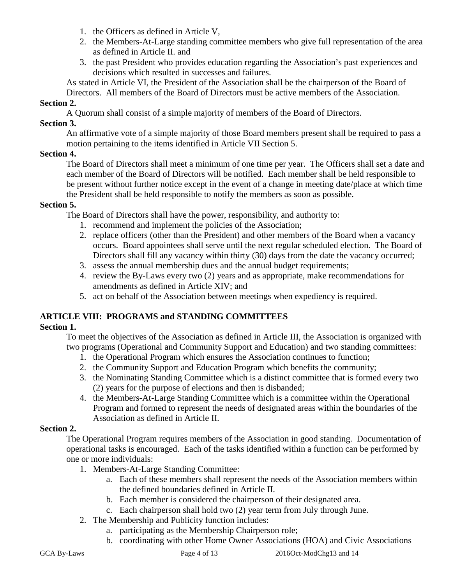- 1. the Officers as defined in Article V,
- 2. the Members-At-Large standing committee members who give full representation of the area as defined in Article II. and
- 3. the past President who provides education regarding the Association's past experiences and decisions which resulted in successes and failures.

As stated in Article VI, the President of the Association shall be the chairperson of the Board of Directors. All members of the Board of Directors must be active members of the Association.

# **Section 2.**

A Quorum shall consist of a simple majority of members of the Board of Directors.

# **Section 3.**

An affirmative vote of a simple majority of those Board members present shall be required to pass a motion pertaining to the items identified in Article VII Section 5.

#### **Section 4.**

The Board of Directors shall meet a minimum of one time per year. The Officers shall set a date and each member of the Board of Directors will be notified. Each member shall be held responsible to be present without further notice except in the event of a change in meeting date/place at which time the President shall be held responsible to notify the members as soon as possible.

#### **Section 5.**

The Board of Directors shall have the power, responsibility, and authority to:

- 1. recommend and implement the policies of the Association;
- 2. replace officers (other than the President) and other members of the Board when a vacancy occurs. Board appointees shall serve until the next regular scheduled election. The Board of Directors shall fill any vacancy within thirty (30) days from the date the vacancy occurred;
- 3. assess the annual membership dues and the annual budget requirements;
- 4. review the By-Laws every two (2) years and as appropriate, make recommendations for amendments as defined in Article XIV; and
- 5. act on behalf of the Association between meetings when expediency is required.

# **ARTICLE VIII: PROGRAMS and STANDING COMMITTEES**

#### **Section 1.**

To meet the objectives of the Association as defined in Article III, the Association is organized with two programs (Operational and Community Support and Education) and two standing committees:

- 1. the Operational Program which ensures the Association continues to function;
- 2. the Community Support and Education Program which benefits the community;
- 3. the Nominating Standing Committee which is a distinct committee that is formed every two (2) years for the purpose of elections and then is disbanded;
- 4. the Members-At-Large Standing Committee which is a committee within the Operational Program and formed to represent the needs of designated areas within the boundaries of the Association as defined in Article II.

#### **Section 2.**

The Operational Program requires members of the Association in good standing. Documentation of operational tasks is encouraged. Each of the tasks identified within a function can be performed by one or more individuals:

- 1. Members-At-Large Standing Committee:
	- a. Each of these members shall represent the needs of the Association members within the defined boundaries defined in Article II.
	- b. Each member is considered the chairperson of their designated area.
	- c. Each chairperson shall hold two (2) year term from July through June.
- 2. The Membership and Publicity function includes:
	- a. participating as the Membership Chairperson role;
	- b. coordinating with other Home Owner Associations (HOA) and Civic Associations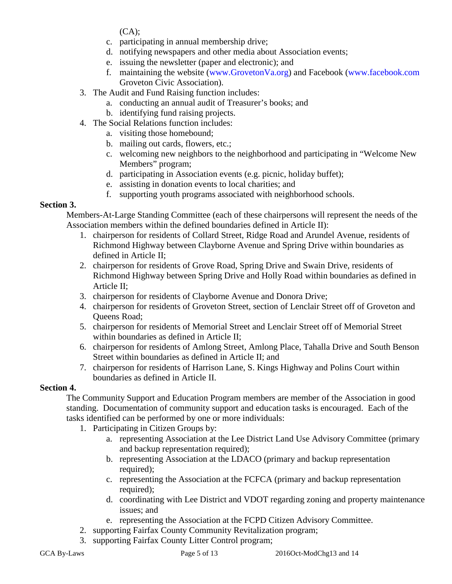$(CA)$ :

- c. participating in annual membership drive;
- d. notifying newspapers and other media about Association events;
- e. issuing the newsletter (paper and electronic); and
- f. maintaining the website [\(www.GrovetonVa.org\)](http://www.grovetonva.org/) and Facebook [\(www.facebook.com](http://www.facebook.com/) Groveton Civic Association).
- 3. The Audit and Fund Raising function includes:
	- a. conducting an annual audit of Treasurer's books; and
	- b. identifying fund raising projects.
- 4. The Social Relations function includes:
	- a. visiting those homebound;
	- b. mailing out cards, flowers, etc.;
	- c. welcoming new neighbors to the neighborhood and participating in "Welcome New Members" program;
	- d. participating in Association events (e.g. picnic, holiday buffet);
	- e. assisting in donation events to local charities; and
	- f. supporting youth programs associated with neighborhood schools.

# **Section 3.**

Members-At-Large Standing Committee (each of these chairpersons will represent the needs of the Association members within the defined boundaries defined in Article II):

- 1. chairperson for residents of Collard Street, Ridge Road and Arundel Avenue, residents of Richmond Highway between Clayborne Avenue and Spring Drive within boundaries as defined in Article II;
- 2. chairperson for residents of Grove Road, Spring Drive and Swain Drive, residents of Richmond Highway between Spring Drive and Holly Road within boundaries as defined in Article II;
- 3. chairperson for residents of Clayborne Avenue and Donora Drive;
- 4. chairperson for residents of Groveton Street, section of Lenclair Street off of Groveton and Queens Road;
- 5. chairperson for residents of Memorial Street and Lenclair Street off of Memorial Street within boundaries as defined in Article II;
- 6. chairperson for residents of Amlong Street, Amlong Place, Tahalla Drive and South Benson Street within boundaries as defined in Article II; and
- 7. chairperson for residents of Harrison Lane, S. Kings Highway and Polins Court within boundaries as defined in Article II.

# **Section 4.**

The Community Support and Education Program members are member of the Association in good standing. Documentation of community support and education tasks is encouraged. Each of the tasks identified can be performed by one or more individuals:

- 1. Participating in Citizen Groups by:
	- a. representing Association at the Lee District Land Use Advisory Committee (primary and backup representation required);
	- b. representing Association at the LDACO (primary and backup representation required);
	- c. representing the Association at the FCFCA (primary and backup representation required);
	- d. coordinating with Lee District and VDOT regarding zoning and property maintenance issues; and
	- e. representing the Association at the FCPD Citizen Advisory Committee.
- 2. supporting Fairfax County Community Revitalization program;
- 3. supporting Fairfax County Litter Control program;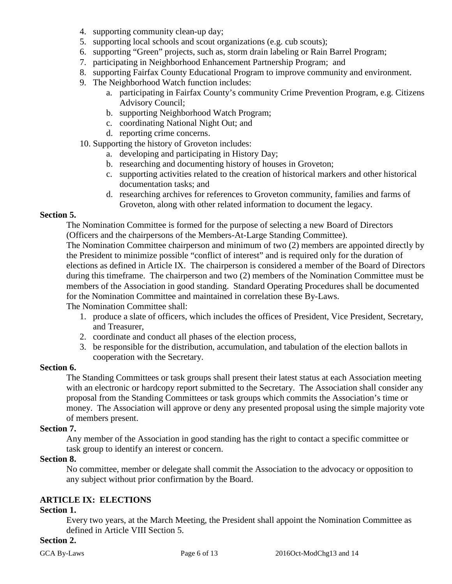- 4. supporting community clean-up day;
- 5. supporting local schools and scout organizations (e.g. cub scouts);
- 6. supporting "Green" projects, such as, storm drain labeling or Rain Barrel Program;
- 7. participating in Neighborhood Enhancement Partnership Program; and
- 8. supporting Fairfax County Educational Program to improve community and environment.
- 9. The Neighborhood Watch function includes:
	- a. participating in Fairfax County's community Crime Prevention Program, e.g. Citizens Advisory Council;
	- b. supporting Neighborhood Watch Program;
	- c. coordinating National Night Out; and
	- d. reporting crime concerns.
- 10. Supporting the history of Groveton includes:
	- a. developing and participating in History Day;
	- b. researching and documenting history of houses in Groveton;
	- c. supporting activities related to the creation of historical markers and other historical documentation tasks; and
	- d. researching archives for references to Groveton community, families and farms of Groveton, along with other related information to document the legacy.

### **Section 5.**

The Nomination Committee is formed for the purpose of selecting a new Board of Directors (Officers and the chairpersons of the Members-At-Large Standing Committee).

The Nomination Committee chairperson and minimum of two (2) members are appointed directly by the President to minimize possible "conflict of interest" and is required only for the duration of elections as defined in Article IX. The chairperson is considered a member of the Board of Directors during this timeframe. The chairperson and two (2) members of the Nomination Committee must be members of the Association in good standing. Standard Operating Procedures shall be documented for the Nomination Committee and maintained in correlation these By-Laws.

The Nomination Committee shall:

- 1. produce a slate of officers, which includes the offices of President, Vice President, Secretary, and Treasurer,
- 2. coordinate and conduct all phases of the election process,
- 3. be responsible for the distribution, accumulation, and tabulation of the election ballots in cooperation with the Secretary.

#### **Section 6.**

The Standing Committees or task groups shall present their latest status at each Association meeting with an electronic or hardcopy report submitted to the Secretary. The Association shall consider any proposal from the Standing Committees or task groups which commits the Association's time or money. The Association will approve or deny any presented proposal using the simple majority vote of members present.

#### **Section 7.**

Any member of the Association in good standing has the right to contact a specific committee or task group to identify an interest or concern.

#### **Section 8.**

No committee, member or delegate shall commit the Association to the advocacy or opposition to any subject without prior confirmation by the Board.

# **ARTICLE IX: ELECTIONS**

#### **Section 1.**

Every two years, at the March Meeting, the President shall appoint the Nomination Committee as defined in Article VIII Section 5.

# **Section 2.**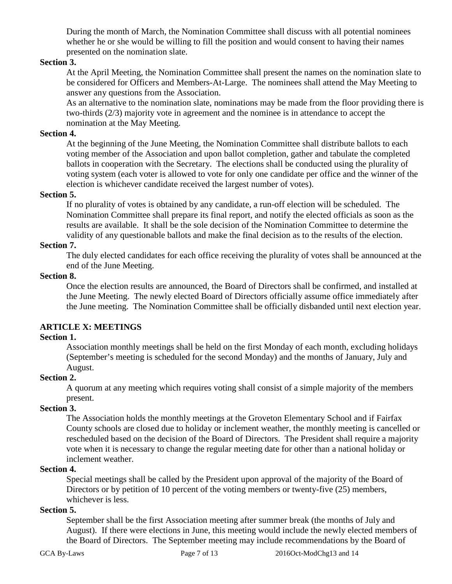During the month of March, the Nomination Committee shall discuss with all potential nominees whether he or she would be willing to fill the position and would consent to having their names presented on the nomination slate.

#### **Section 3.**

At the April Meeting, the Nomination Committee shall present the names on the nomination slate to be considered for Officers and Members-At-Large. The nominees shall attend the May Meeting to answer any questions from the Association.

As an alternative to the nomination slate, nominations may be made from the floor providing there is two-thirds (2/3) majority vote in agreement and the nominee is in attendance to accept the nomination at the May Meeting.

#### **Section 4.**

At the beginning of the June Meeting, the Nomination Committee shall distribute ballots to each voting member of the Association and upon ballot completion, gather and tabulate the completed ballots in cooperation with the Secretary. The elections shall be conducted using the plurality of voting system (each voter is allowed to vote for only one candidate per office and the winner of the election is whichever candidate received the largest number of votes).

#### **Section 5.**

If no plurality of votes is obtained by any candidate, a run-off election will be scheduled. The Nomination Committee shall prepare its final report, and notify the elected officials as soon as the results are available. It shall be the sole decision of the Nomination Committee to determine the validity of any questionable ballots and make the final decision as to the results of the election.

#### **Section 7.**

The duly elected candidates for each office receiving the plurality of votes shall be announced at the end of the June Meeting.

#### **Section 8.**

Once the election results are announced, the Board of Directors shall be confirmed, and installed at the June Meeting. The newly elected Board of Directors officially assume office immediately after the June meeting. The Nomination Committee shall be officially disbanded until next election year.

# **ARTICLE X: MEETINGS**

#### **Section 1.**

Association monthly meetings shall be held on the first Monday of each month, excluding holidays (September's meeting is scheduled for the second Monday) and the months of January, July and August.

#### **Section 2.**

A quorum at any meeting which requires voting shall consist of a simple majority of the members present.

# **Section 3.**

The Association holds the monthly meetings at the Groveton Elementary School and if Fairfax County schools are closed due to holiday or inclement weather, the monthly meeting is cancelled or rescheduled based on the decision of the Board of Directors. The President shall require a majority vote when it is necessary to change the regular meeting date for other than a national holiday or inclement weather.

#### **Section 4.**

Special meetings shall be called by the President upon approval of the majority of the Board of Directors or by petition of 10 percent of the voting members or twenty-five (25) members, whichever is less.

### **Section 5.**

September shall be the first Association meeting after summer break (the months of July and August). If there were elections in June, this meeting would include the newly elected members of the Board of Directors. The September meeting may include recommendations by the Board of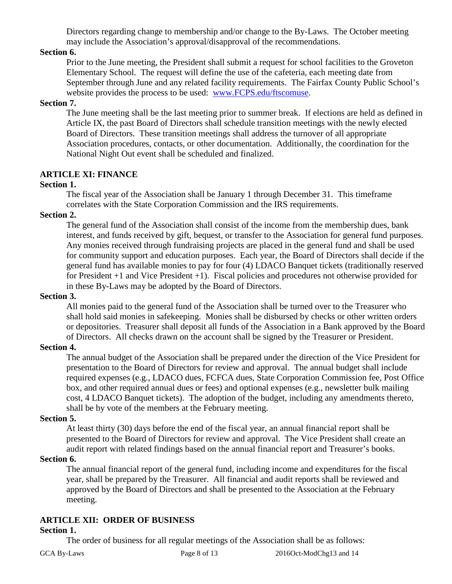Directors regarding change to membership and/or change to the By-Laws. The October meeting may include the Association's approval/disapproval of the recommendations.

# **Section 6.**

Prior to the June meeting, the President shall submit a request for school facilities to the Groveton Elementary School. The request will define the use of the cafeteria, each meeting date from September through June and any related facility requirements. The Fairfax County Public School's website provides the process to be used: [www.FCPS.edu/ftscomuse.](http://www.fcps.edu/ftscomuse)

### **Section 7.**

The June meeting shall be the last meeting prior to summer break. If elections are held as defined in Article IX, the past Board of Directors shall schedule transition meetings with the newly elected Board of Directors. These transition meetings shall address the turnover of all appropriate Association procedures, contacts, or other documentation. Additionally, the coordination for the National Night Out event shall be scheduled and finalized.

# **ARTICLE XI: FINANCE**

# **Section 1.**

The fiscal year of the Association shall be January 1 through December 31. This timeframe correlates with the State Corporation Commission and the IRS requirements.

# **Section 2.**

The general fund of the Association shall consist of the income from the membership dues, bank interest, and funds received by gift, bequest, or transfer to the Association for general fund purposes. Any monies received through fundraising projects are placed in the general fund and shall be used for community support and education purposes. Each year, the Board of Directors shall decide if the general fund has available monies to pay for four (4) LDACO Banquet tickets (traditionally reserved for President +1 and Vice President +1). Fiscal policies and procedures not otherwise provided for in these By-Laws may be adopted by the Board of Directors.

### **Section 3.**

All monies paid to the general fund of the Association shall be turned over to the Treasurer who shall hold said monies in safekeeping. Monies shall be disbursed by checks or other written orders or depositories. Treasurer shall deposit all funds of the Association in a Bank approved by the Board of Directors. All checks drawn on the account shall be signed by the Treasurer or President.

# **Section 4.**

The annual budget of the Association shall be prepared under the direction of the Vice President for presentation to the Board of Directors for review and approval. The annual budget shall include required expenses (e.g., LDACO dues, FCFCA dues, State Corporation Commission fee, Post Office box, and other required annual dues or fees) and optional expenses (e.g., newsletter bulk mailing cost, 4 LDACO Banquet tickets). The adoption of the budget, including any amendments thereto, shall be by vote of the members at the February meeting.

#### **Section 5.**

At least thirty (30) days before the end of the fiscal year, an annual financial report shall be presented to the Board of Directors for review and approval. The Vice President shall create an audit report with related findings based on the annual financial report and Treasurer's books.

#### **Section 6.**

The annual financial report of the general fund, including income and expenditures for the fiscal year, shall be prepared by the Treasurer. All financial and audit reports shall be reviewed and approved by the Board of Directors and shall be presented to the Association at the February meeting.

# **ARTICLE XII: ORDER OF BUSINESS**

#### **Section 1.**

The order of business for all regular meetings of the Association shall be as follows: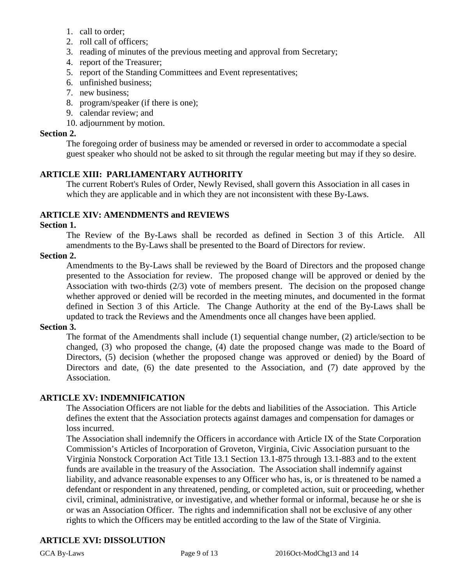- 1. call to order;
- 2. roll call of officers;
- 3. reading of minutes of the previous meeting and approval from Secretary;
- 4. report of the Treasurer;
- 5. report of the Standing Committees and Event representatives;
- 6. unfinished business;
- 7. new business;
- 8. program/speaker (if there is one);
- 9. calendar review; and
- 10. adjournment by motion.

#### **Section 2.**

The foregoing order of business may be amended or reversed in order to accommodate a special guest speaker who should not be asked to sit through the regular meeting but may if they so desire.

# **ARTICLE XIII: PARLIAMENTARY AUTHORITY**

The current Robert's Rules of Order, Newly Revised, shall govern this Association in all cases in which they are applicable and in which they are not inconsistent with these By-Laws.

# **ARTICLE XIV: AMENDMENTS and REVIEWS**

#### **Section 1.**

The Review of the By-Laws shall be recorded as defined in Section 3 of this Article. All amendments to the By-Laws shall be presented to the Board of Directors for review.

#### **Section 2.**

Amendments to the By-Laws shall be reviewed by the Board of Directors and the proposed change presented to the Association for review. The proposed change will be approved or denied by the Association with two-thirds (2/3) vote of members present. The decision on the proposed change whether approved or denied will be recorded in the meeting minutes, and documented in the format defined in Section 3 of this Article. The Change Authority at the end of the By-Laws shall be updated to track the Reviews and the Amendments once all changes have been applied.

#### **Section 3.**

The format of the Amendments shall include (1) sequential change number, (2) article/section to be changed, (3) who proposed the change, (4) date the proposed change was made to the Board of Directors, (5) decision (whether the proposed change was approved or denied) by the Board of Directors and date, (6) the date presented to the Association, and (7) date approved by the Association.

#### **ARTICLE XV: INDEMNIFICATION**

The Association Officers are not liable for the debts and liabilities of the Association. This Article defines the extent that the Association protects against damages and compensation for damages or loss incurred.

The Association shall indemnify the Officers in accordance with Article IX of the State Corporation Commission's Articles of Incorporation of Groveton, Virginia, Civic Association pursuant to the Virginia Nonstock Corporation Act Title 13.1 Section 13.1-875 through 13.1-883 and to the extent funds are available in the treasury of the Association. The Association shall indemnify against liability, and advance reasonable expenses to any Officer who has, is, or is threatened to be named a defendant or respondent in any threatened, pending, or completed action, suit or proceeding, whether civil, criminal, administrative, or investigative, and whether formal or informal, because he or she is or was an Association Officer. The rights and indemnification shall not be exclusive of any other rights to which the Officers may be entitled according to the law of the State of Virginia.

# **ARTICLE XVI: DISSOLUTION**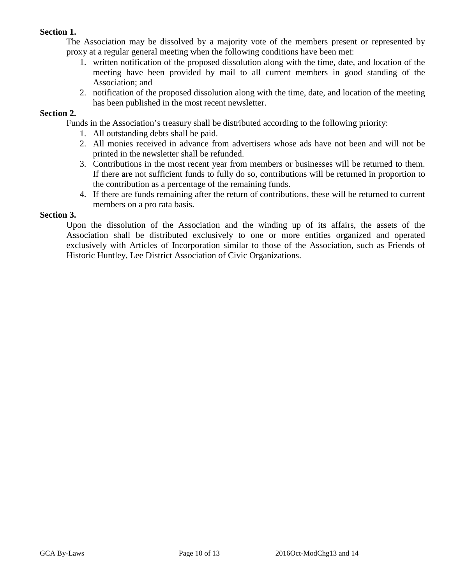### **Section 1.**

The Association may be dissolved by a majority vote of the members present or represented by proxy at a regular general meeting when the following conditions have been met:

- 1. written notification of the proposed dissolution along with the time, date, and location of the meeting have been provided by mail to all current members in good standing of the Association; and
- 2. notification of the proposed dissolution along with the time, date, and location of the meeting has been published in the most recent newsletter.

#### **Section 2.**

Funds in the Association's treasury shall be distributed according to the following priority:

- 1. All outstanding debts shall be paid.
- 2. All monies received in advance from advertisers whose ads have not been and will not be printed in the newsletter shall be refunded.
- 3. Contributions in the most recent year from members or businesses will be returned to them. If there are not sufficient funds to fully do so, contributions will be returned in proportion to the contribution as a percentage of the remaining funds.
- 4. If there are funds remaining after the return of contributions, these will be returned to current members on a pro rata basis.

#### **Section 3.**

Upon the dissolution of the Association and the winding up of its affairs, the assets of the Association shall be distributed exclusively to one or more entities organized and operated exclusively with Articles of Incorporation similar to those of the Association, such as Friends of Historic Huntley, Lee District Association of Civic Organizations.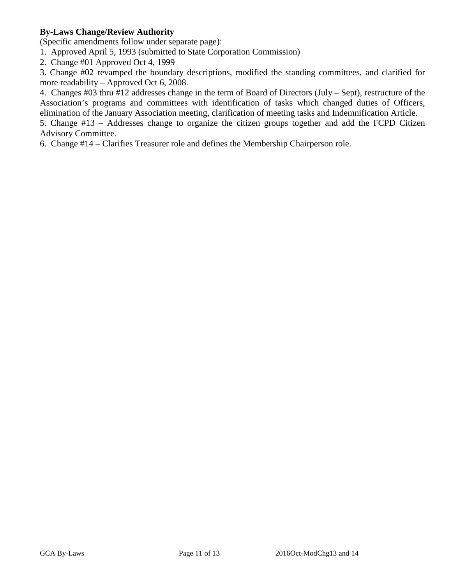# **By-Laws Change/Review Authority**

(Specific amendments follow under separate page):

1. Approved April 5, 1993 (submitted to State Corporation Commission)

2. Change #01 Approved Oct 4, 1999

3. Change #02 revamped the boundary descriptions, modified the standing committees, and clarified for more readability – Approved Oct 6, 2008.

4. Changes #03 thru #12 addresses change in the term of Board of Directors (July – Sept), restructure of the Association's programs and committees with identification of tasks which changed duties of Officers, elimination of the January Association meeting, clarification of meeting tasks and Indemnification Article.

5. Change #13 – Addresses change to organize the citizen groups together and add the FCPD Citizen Advisory Committee.

6. Change #14 – Clarifies Treasurer role and defines the Membership Chairperson role.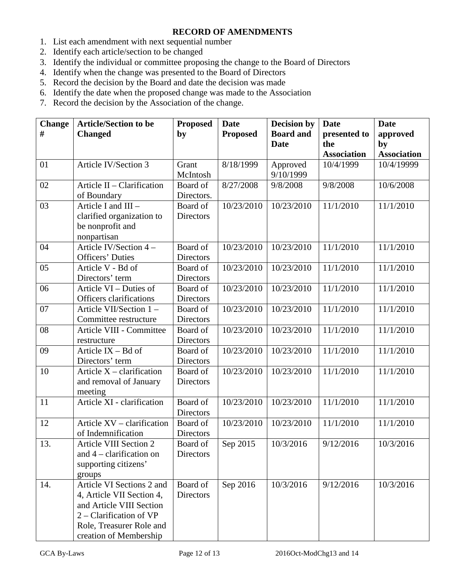# **RECORD OF AMENDMENTS**

- 1. List each amendment with next sequential number
- 2. Identify each article/section to be changed
- 3. Identify the individual or committee proposing the change to the Board of Directors
- 4. Identify when the change was presented to the Board of Directors
- 5. Record the decision by the Board and date the decision was made
- 6. Identify the date when the proposed change was made to the Association
- 7. Record the decision by the Association of the change.

| <b>Change</b> | <b>Article/Section to be</b>  | <b>Proposed</b>  | <b>Date</b>     | <b>Decision by</b> | <b>Date</b>            | <b>Date</b>        |
|---------------|-------------------------------|------------------|-----------------|--------------------|------------------------|--------------------|
| #             | <b>Changed</b>                | by               | <b>Proposed</b> | <b>Board and</b>   | presented to           | approved           |
|               |                               |                  |                 | <b>Date</b>        | the                    | by                 |
|               |                               |                  |                 |                    | <b>Association</b>     | <b>Association</b> |
| 01            | Article IV/Section 3          | Grant            | 8/18/1999       | Approved           | 10/4/1999              | 10/4/19999         |
|               |                               | McIntosh         |                 | 9/10/1999          |                        |                    |
| 02            | Article II - Clarification    | Board of         | 8/27/2008       | 9/8/2008           | 9/8/2008               | 10/6/2008          |
|               | of Boundary                   | Directors.       |                 |                    |                        |                    |
| 03            | Article I and $III -$         | Board of         | 10/23/2010      | 10/23/2010         | 11/1/2010              | 11/1/2010          |
|               | clarified organization to     | Directors        |                 |                    |                        |                    |
|               | be nonprofit and              |                  |                 |                    |                        |                    |
|               | nonpartisan                   |                  |                 |                    |                        |                    |
| 04            | Article IV/Section 4 -        | <b>Board</b> of  | 10/23/2010      | 10/23/2010         | 11/1/2010              | 11/1/2010          |
|               | <b>Officers' Duties</b>       | Directors        |                 |                    |                        |                    |
| 05            | Article V - Bd of             | Board of         | 10/23/2010      | 10/23/2010         | 11/1/2010              | 11/1/2010          |
|               | Directors' term               | Directors        |                 |                    |                        |                    |
| 06            | Article VI - Duties of        | Board of         | 10/23/2010      | 10/23/2010         | $\frac{1}{11}{1/2010}$ | 11/1/2010          |
|               | Officers clarifications       | <b>Directors</b> |                 |                    |                        |                    |
| 07            | Article VII/Section 1-        | Board of         | 10/23/2010      | 10/23/2010         | 11/1/2010              | 11/1/2010          |
|               | Committee restructure         | Directors        |                 |                    |                        |                    |
| 08            | Article VIII - Committee      | Board of         | 10/23/2010      | 10/23/2010         | 11/1/2010              | 11/1/2010          |
|               | restructure                   | Directors        |                 |                    |                        |                    |
| 09            | Article $IX - Bd$ of          | Board of         | 10/23/2010      | 10/23/2010         | 11/1/2010              | 11/1/2010          |
|               | Directors' term               | <b>Directors</b> |                 |                    |                        |                    |
| 10            | Article $X -$ clarification   | Board of         | 10/23/2010      | 10/23/2010         | 11/1/2010              | 11/1/2010          |
|               | and removal of January        | Directors        |                 |                    |                        |                    |
|               | meeting                       |                  |                 |                    |                        |                    |
| 11            | Article XI - clarification    | Board of         | 10/23/2010      | 10/23/2010         | 11/1/2010              | 11/1/2010          |
|               |                               | <b>Directors</b> |                 |                    |                        |                    |
| 12            | Article XV – clarification    | Board of         | 10/23/2010      | 10/23/2010         | 11/1/2010              | 11/1/2010          |
|               | of Indemnification            | <b>Directors</b> |                 |                    |                        |                    |
| 13.           | <b>Article VIII Section 2</b> | Board of         | Sep 2015        | 10/3/2016          | 9/12/2016              | 10/3/2016          |
|               | and $4$ – clarification on    | <b>Directors</b> |                 |                    |                        |                    |
|               | supporting citizens'          |                  |                 |                    |                        |                    |
|               | groups                        |                  |                 |                    |                        |                    |
| 14.           | Article VI Sections 2 and     | Board of         | Sep 2016        | 10/3/2016          | 9/12/2016              | 10/3/2016          |
|               | 4, Article VII Section 4,     | Directors        |                 |                    |                        |                    |
|               | and Article VIII Section      |                  |                 |                    |                        |                    |
|               | $2$ – Clarification of VP     |                  |                 |                    |                        |                    |
|               | Role, Treasurer Role and      |                  |                 |                    |                        |                    |
|               | creation of Membership        |                  |                 |                    |                        |                    |